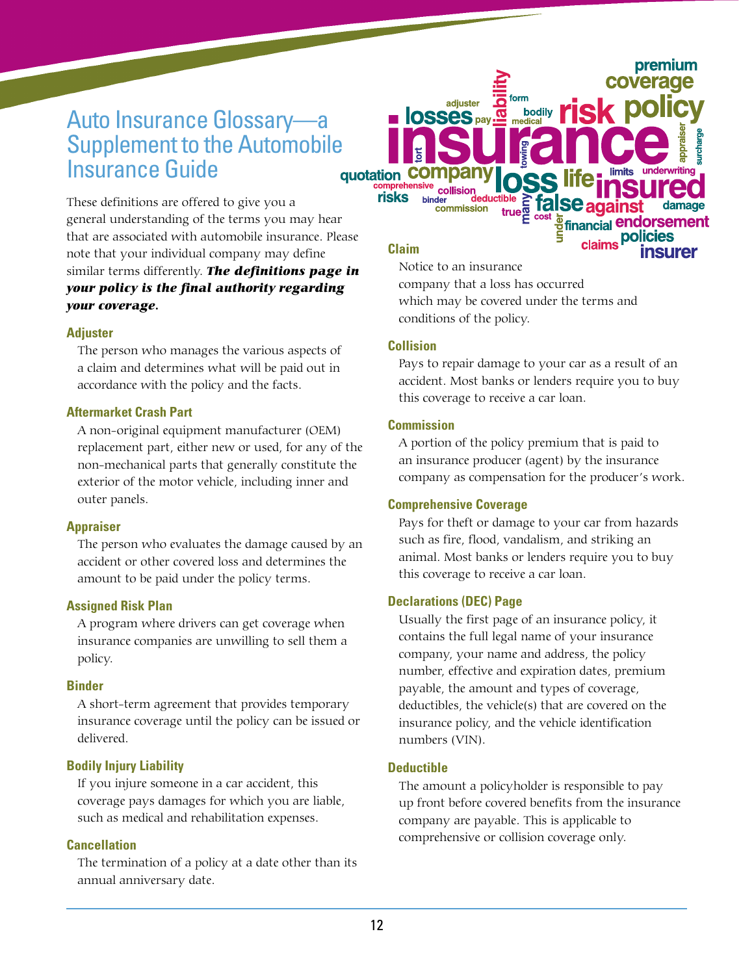# Auto Insurance Glossary—a Supplement to the Automobile Insurance Guide quotation

These definitions are offered to give you a general understanding of the terms you may hear that are associated with automobile insurance. Please note that your individual company may define similar terms differently. *The definitions page in your policy is the final authority regarding your coverage.*

### **Adjuster**

The person who manages the various aspects of a claim and determines what will be paid out in accordance with the policy and the facts.

# **Aftermarket Crash Part**

A non-original equipment manufacturer (OEM) replacement part, either new or used, for any of the non-mechanical parts that generally constitute the exterior of the motor vehicle, including inner and outer panels.

# **Appraiser**

The person who evaluates the damage caused by an accident or other covered loss and determines the amount to be paid under the policy terms.

#### **Assigned Risk Plan**

A program where drivers can get coverage when insurance companies are unwilling to sell them a policy.

#### **Binder**

A short-term agreement that provides temporary insurance coverage until the policy can be issued or delivered.

# **Bodily Injury Liability**

If you injure someone in a car accident, this coverage pays damages for which you are liable, such as medical and rehabilitation expenses.

#### **Cancellation**

The termination of a policy at a date other than its annual anniversary date.

**Claim**

risks

Notice to an insurance company that a loss has occurred which may be covered under the terms and conditions of the policy.

# **Collision**

Pays to repair damage to your car as a result of an accident. Most banks or lenders require you to buy this coverage to receive a car loan.

bodily  $\overline{\text{TS}}$ 

n

premium

### **Commission**

A portion of the policy premium that is paid to an insurance producer (agent) by the insurance company as compensation for the producer's work.

# **Comprehensive Coverage**

adjuster

commission

**ELOSSES** pay

binder

Pays for theft or damage to your car from hazards such as fire, flood, vandalism, and striking an animal. Most banks or lenders require you to buy this coverage to receive a car loan.

#### **Declarations (DEC) Page**

Usually the first page of an insurance policy, it contains the full legal name of your insurance company, your name and address, the policy number, effective and expiration dates, premium payable, the amount and types of coverage, deductibles, the vehicle(s) that are covered on the insurance policy, and the vehicle identification numbers (VIN).

### **Deductible**

The amount a policyholder is responsible to pay up front before covered benefits from the insurance company are payable. This is applicable to comprehensive or collision coverage only.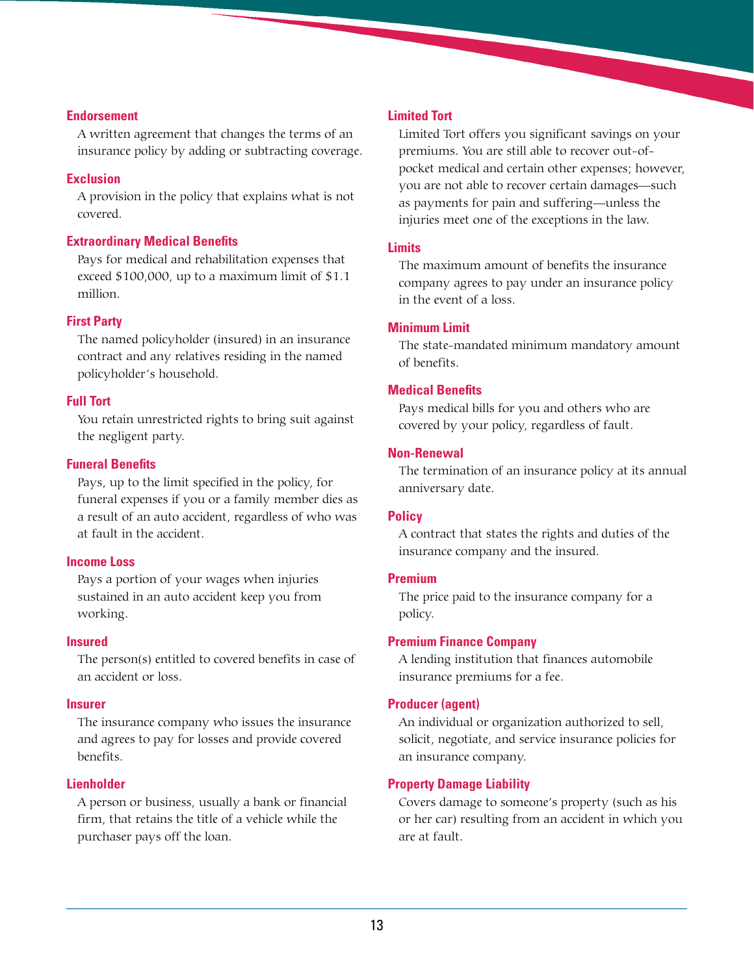### **Endorsement**

A written agreement that changes the terms of an insurance policy by adding or subtracting coverage.

### **Exclusion**

A provision in the policy that explains what is not covered.

# **Extraordinary Medical Benefits**

Pays for medical and rehabilitation expenses that exceed \$100,000, up to a maximum limit of \$1.1 million.

### **First Party**

The named policyholder (insured) in an insurance contract and any relatives residing in the named policyholder's household.

### **Full Tort**

You retain unrestricted rights to bring suit against the negligent party.

#### **Funeral Benefits**

Pays, up to the limit specified in the policy, for funeral expenses if you or a family member dies as a result of an auto accident, regardless of who was at fault in the accident.

#### **Income Loss**

Pays a portion of your wages when injuries sustained in an auto accident keep you from working.

#### **Insured**

The person(s) entitled to covered benefits in case of an accident or loss.

#### **Insurer**

The insurance company who issues the insurance and agrees to pay for losses and provide covered benefits.

# **Lienholder**

A person or business, usually a bank or financial firm, that retains the title of a vehicle while the purchaser pays off the loan.

#### **Limited Tort**

Limited Tort offers you significant savings on your premiums. You are still able to recover out-ofpocket medical and certain other expenses; however, you are not able to recover certain damages—such as payments for pain and suffering—unless the injuries meet one of the exceptions in the law.

# **Limits**

The maximum amount of benefits the insurance company agrees to pay under an insurance policy in the event of a loss.

# **Minimum Limit**

The state-mandated minimum mandatory amount of benefits.

### **Medical Benefits**

Pays medical bills for you and others who are covered by your policy, regardless of fault.

# **Non-Renewal**

The termination of an insurance policy at its annual anniversary date.

# **Policy**

A contract that states the rights and duties of the insurance company and the insured.

# **Premium**

The price paid to the insurance company for a policy.

# **Premium Finance Company**

A lending institution that finances automobile insurance premiums for a fee.

# **Producer (agent)**

An individual or organization authorized to sell, solicit, negotiate, and service insurance policies for an insurance company.

# **Property Damage Liability**

Covers damage to someone's property (such as his or her car) resulting from an accident in which you are at fault.